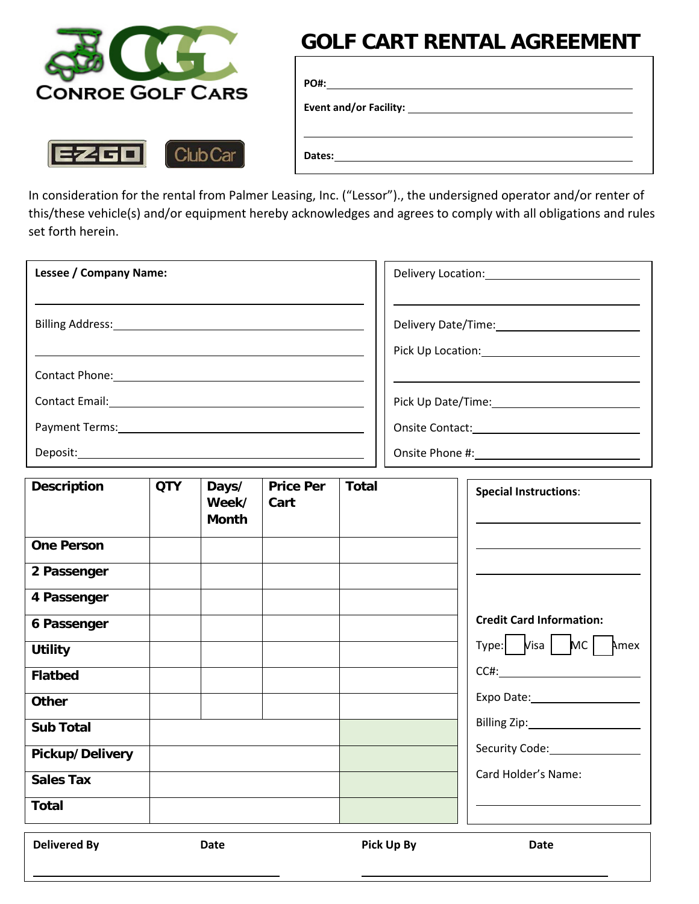

Club Car

**EZGO** 

# **GOLF CART RENTAL AGREEMENT**

| Dates:<br>the contract of the contract of the contract of the contract of the contract of the contract of the contract of |  |
|---------------------------------------------------------------------------------------------------------------------------|--|

In consideration for the rental from Palmer Leasing, Inc. ("Lessor")., the undersigned operator and/or renter of this/these vehicle(s) and/or equipment hereby acknowledges and agrees to comply with all obligations and rules set forth herein.

| <b>Lessee / Company Name:</b>                                                                       | Delivery Location: 1997 |
|-----------------------------------------------------------------------------------------------------|-------------------------|
|                                                                                                     |                         |
|                                                                                                     |                         |
|                                                                                                     | Pick Up Location: 1997  |
| Contact Phone: 1997                                                                                 |                         |
| Contact Email: _______________                                                                      | Pick Up Date/Time:      |
| Payment Terms: 1997 and 1997 and 1997 and 1997 and 1997 and 1997 and 1997 and 1997 and 1997 and 199 | <b>Onsite Contact:</b>  |
| Deposit:                                                                                            | Onsite Phone #:         |

| <b>Description</b> | <b>QTY</b> | Days/<br>Week/<br><b>Month</b> | <b>Price Per</b><br>Cart | <b>Total</b> | <b>Special Instructions:</b>                                       |
|--------------------|------------|--------------------------------|--------------------------|--------------|--------------------------------------------------------------------|
| <b>One Person</b>  |            |                                |                          |              |                                                                    |
| 2 Passenger        |            |                                |                          |              |                                                                    |
| 4 Passenger        |            |                                |                          |              |                                                                    |
| 6 Passenger        |            |                                |                          |              | <b>Credit Card Information:</b>                                    |
| <b>Utility</b>     |            |                                |                          |              | $Type:   \quad \text{Visa}   \quad \text{MC}   \quad \text{A}$ mex |
| <b>Flatbed</b>     |            |                                |                          |              | CCH:                                                               |
| <b>Other</b>       |            |                                |                          |              | Expo Date: 2000                                                    |
| <b>Sub Total</b>   |            |                                |                          |              | Billing Zip:_____________________                                  |
| Pickup/Delivery    |            |                                |                          |              |                                                                    |
| <b>Sales Tax</b>   |            |                                |                          |              | Card Holder's Name:                                                |
| <b>Total</b>       |            |                                |                          |              |                                                                    |

**Delivered By Date Date Pick Up By Date**